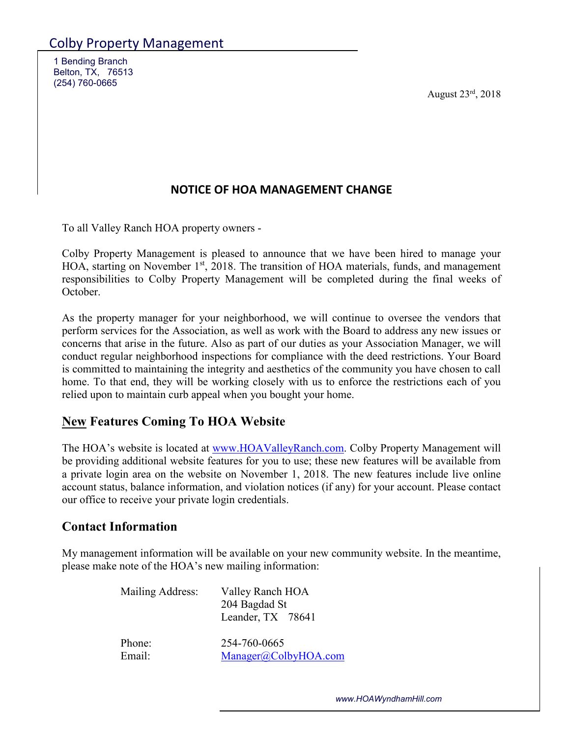1 Bending Branch Belton, TX, 76513 (254) 760-0665

August 23rd, 2018

## **NOTICE OF HOA MANAGEMENT CHANGE**

To all Valley Ranch HOA property owners -

Colby Property Management is pleased to announce that we have been hired to manage your HOA, starting on November 1<sup>st</sup>, 2018. The transition of HOA materials, funds, and management responsibilities to Colby Property Management will be completed during the final weeks of October.

As the property manager for your neighborhood, we will continue to oversee the vendors that perform services for the Association, as well as work with the Board to address any new issues or concerns that arise in the future. Also as part of our duties as your Association Manager, we will conduct regular neighborhood inspections for compliance with the deed restrictions. Your Board is committed to maintaining the integrity and aesthetics of the community you have chosen to call home. To that end, they will be working closely with us to enforce the restrictions each of you relied upon to maintain curb appeal when you bought your home.

## **New Features Coming To HOA Website**

The HOA's website is located at www.HOAValleyRanch.com. Colby Property Management will be providing additional website features for you to use; these new features will be available from a private login area on the website on November 1, 2018. The new features include live online account status, balance information, and violation notices (if any) for your account. Please contact our office to receive your private login credentials.

## **Contact Information**

My management information will be available on your new community website. In the meantime, please make note of the HOA's new mailing information:

| Mailing Address: | Valley Ranch HOA<br>204 Bagdad St<br>Leander, TX 78641 |
|------------------|--------------------------------------------------------|
| Phone:           | 254-760-0665                                           |
| Email:           | Manager@ColbyHOA.com                                   |